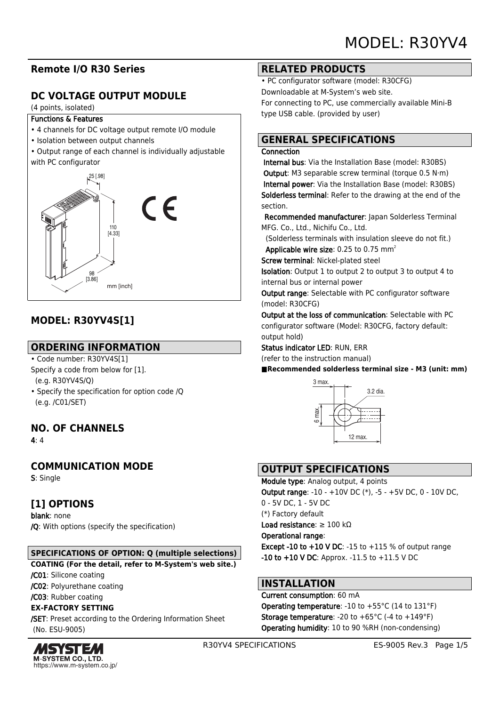# **Remote I/O R30 Series**

# **DC VOLTAGE OUTPUT MODULE**

#### (4 points, isolated)

#### Functions & Features

- 4 channels for DC voltage output remote I/O module
- Isolation between output channels
- Output range of each channel is individually adjustable with PC configurator



# **MODEL: R30YV4S[1]**

## **ORDERING INFORMATION**

- Code number: R30YV4S[1]
- Specify a code from below for [1]. (e.g. R30YV4S/Q)
- Specify the specification for option code /Q (e.g. /C01/SET)

# **NO. OF CHANNELS**

4: 4

# **COMMUNICATION MODE**

S: Single

# **[1] OPTIONS**

blank: none /Q: With options (specify the specification)

### **SPECIFICATIONS OF OPTION: Q (multiple selections)**

**COATING (For the detail, refer to M-System's web site.)**

/C01: Silicone coating

/C02: Polyurethane coating

/C03: Rubber coating

### **EX-FACTORY SETTING**

/SET: Preset according to the Ordering Information Sheet (No. ESU-9005)



### **RELATED PRODUCTS**

• PC configurator software (model: R30CFG) Downloadable at M-System's web site. For connecting to PC, use commercially available Mini-B type USB cable. (provided by user)

## **GENERAL SPECIFICATIONS**

### **Connection**

 Internal bus: Via the Installation Base (model: R30BS) Output: M3 separable screw terminal (torque 0.5 N·m) Internal power: Via the Installation Base (model: R30BS) Solderless terminal: Refer to the drawing at the end of the section.

Recommended manufacturer: Japan Solderless Terminal MFG. Co., Ltd., Nichifu Co., Ltd.

 (Solderless terminals with insulation sleeve do not fit.) Applicable wire size:  $0.25$  to  $0.75$  mm<sup>2</sup>

Screw terminal: Nickel-plated steel

Isolation: Output 1 to output 2 to output 3 to output 4 to internal bus or internal power

Output range: Selectable with PC configurator software (model: R30CFG)

Output at the loss of communication: Selectable with PC configurator software (Model: R30CFG, factory default: output hold)

Status indicator LED: RUN, ERR (refer to the instruction manual)

■Recommended solderless terminal size - M3 (unit: mm)



# **OUTPUT SPECIFICATIONS**

Module type: Analog output, 4 points Output range: -10 - +10V DC (\*), -5 - +5V DC, 0 - 10V DC, 0 - 5V DC, 1 - 5V DC (\*) Factory default Load resistance: ≥ 100 kΩ Operational range: Except -10 to  $+10$  V DC: -15 to  $+115$  % of output range  $-10$  to  $+10$  V DC: Approx.  $-11.5$  to  $+11.5$  V DC

# **INSTALLATION**

# Current consumption: 60 mA

**Operating temperature: -10 to +55 °C (14 to 131 °F) Storage temperature:** -20 to  $+65^{\circ}$ C (-4 to  $+149^{\circ}$ F) Operating humidity: 10 to 90 %RH (non-condensing)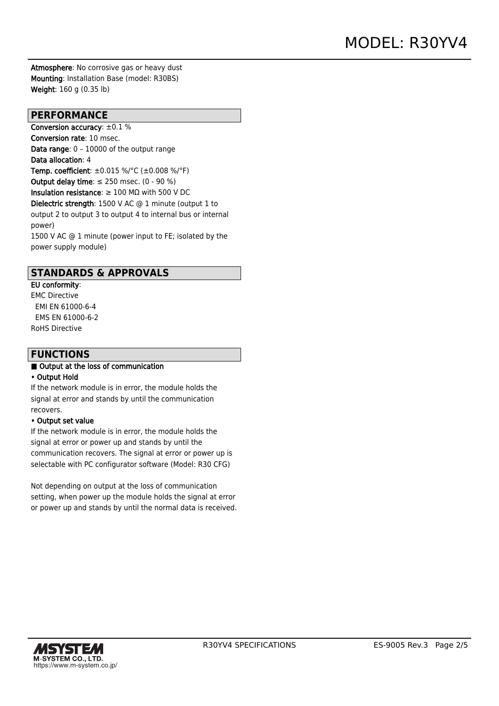Atmosphere: No corrosive gas or heavy dust Mounting: Installation Base (model: R30BS) Weight: 160 g (0.35 lb)

### **PERFORMANCE**

Conversion accuracy: ±0.1 % Conversion rate: 10 msec. Data range: 0 – 10000 of the output range Data allocation: 4 Temp. coefficient: ±0.015 %/°C (±0.008 %/°F) Output delay time:  $\leq$  250 msec. (0 - 90 %) Insulation resistance:  $\geq 100$  M $\Omega$  with 500 V DC Dielectric strength: 1500 V AC @ 1 minute (output 1 to output 2 to output 3 to output 4 to internal bus or internal power) 1500 V AC @ 1 minute (power input to FE; isolated by the power supply module)

### **STANDARDS & APPROVALS**

EU conformity: EMC Directive EMI EN 61000-6-4 EMS EN 61000-6-2 RoHS Directive

### **FUNCTIONS**

#### ■ Output at the loss of communication

### • Output Hold

If the network module is in error, the module holds the signal at error and stands by until the communication recovers.

#### • Output set value

If the network module is in error, the module holds the signal at error or power up and stands by until the communication recovers. The signal at error or power up is selectable with PC configurator software (Model: R30 CFG)

Not depending on output at the loss of communication setting, when power up the module holds the signal at error or power up and stands by until the normal data is received.

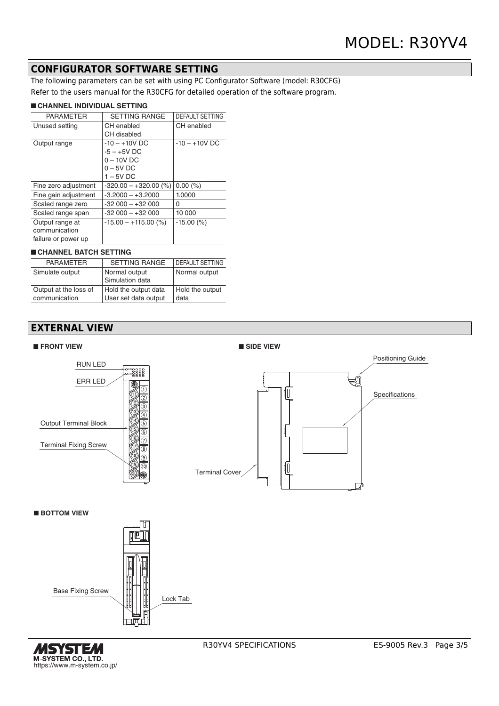### **CONFIGURATOR SOFTWARE SETTING**

The following parameters can be set with using PC Configurator Software (model: R30CFG) Refer to the users manual for the R30CFG for detailed operation of the software program.

#### ■ **CHANNEL INDIVIDUAL SETTING**

| <b>PARAMETER</b>     | <b>SETTING RANGE</b>    | <b>DEFAULT SETTING</b> |
|----------------------|-------------------------|------------------------|
| Unused setting       | CH enabled              | CH enabled             |
|                      | CH disabled             |                        |
| Output range         | $-10 - +10V$ DC         | $-10 - +10V$ DC        |
|                      | $-5 - +5V$ DC           |                        |
|                      | $0 - 10V$ DC            |                        |
|                      | $0 - 5V$ DC             |                        |
|                      | $1 - 5V$ DC             |                        |
| Fine zero adjustment | $-320.00 - +320.00$ (%) | $0.00\ (%)$            |
| Fine gain adjustment | $-3.2000 - +3.2000$     | 1.0000                 |
| Scaled range zero    | $-32000 - +32000$       | 0                      |
| Scaled range span    | $-32000 - +32000$       | 10 000                 |
| Output range at      | $-15.00 - +115.00$ (%)  | $-15.00(%)$            |
| communication        |                         |                        |
| failure or power up  |                         |                        |
|                      |                         |                        |

### ■ **CHANNEL BATCH SETTING**

| <b>PARAMETER</b>      | <b>SETTING RANGE</b> | <b>DEFAULT SETTING</b> |
|-----------------------|----------------------|------------------------|
| Simulate output       | Normal output        | Normal output          |
|                       | Simulation data      |                        |
| Output at the loss of | Hold the output data | Hold the output        |
| communication         | User set data output | data                   |

# **EXTERNAL VIEW**



■ **BOTTOM VIEW**



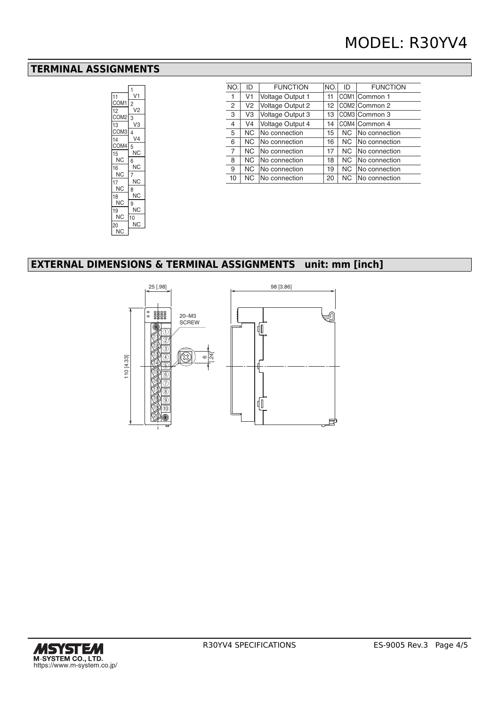### **TERMINAL ASSIGNMENTS**



| NO.            | ID             | <b>FUNCTION</b>         | NO. | ID        | <b>FUNCTION</b> |
|----------------|----------------|-------------------------|-----|-----------|-----------------|
| 1              | V1             | <b>Voltage Output 1</b> | 11  |           | COM1 Common 1   |
| 2              | V <sub>2</sub> | Voltage Output 2        | 12  |           | COM2 Common 2   |
| 3              | V3             | Voltage Output 3        | 13  |           | COM3 Common 3   |
| 4              | V4             | <b>Voltage Output 4</b> | 14  |           | COM4 Common 4   |
| 5              | NC.            | No connection           | 15  | <b>NC</b> | No connection   |
| 6              | NC.            | No connection           | 16  | NC.       | No connection   |
| $\overline{7}$ | NC.            | No connection           | 17  | NC.       | No connection   |
| 8              | NC.            | No connection           | 18  | <b>NC</b> | No connection   |
| 9              | NC.            | No connection           | 19  | NC.       | No connection   |
| 10             | NC.            | No connection           | 20  | NC.       | No connection   |

# **EXTERNAL DIMENSIONS & TERMINAL ASSIGNMENTS unit: mm [inch]**